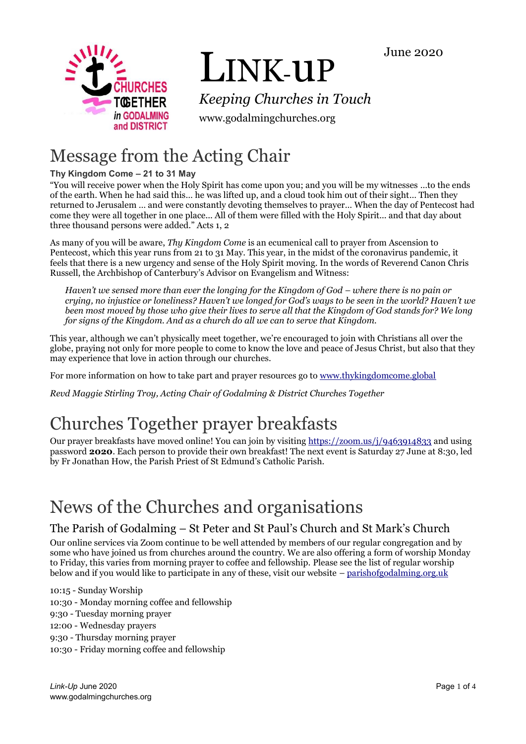June 2020



# LINK-uP

*Keeping Churches in Touch*

www.godalmingchurches.org

# Message from the Acting Chair

# **Thy Kingdom Come – 21 to 31 May**

"You will receive power when the Holy Spirit has come upon you; and you will be my witnesses …to the ends of the earth. When he had said this… he was lifted up, and a cloud took him out of their sight… Then they returned to Jerusalem … and were constantly devoting themselves to prayer… When the day of Pentecost had come they were all together in one place... All of them were filled with the Holy Spirit... and that day about three thousand persons were added." Acts 1, 2

As many of you will be aware, *Thy Kingdom Come* is an ecumenical call to prayer from Ascension to Pentecost, which this year runs from 21 to 31 May. This year, in the midst of the coronavirus pandemic, it feels that there is a new urgency and sense of the Holy Spirit moving. In the words of Reverend Canon Chris Russell, the Archbishop of Canterbury's Advisor on Evangelism and Witness:

*Haven't we sensed more than ever the longing for the Kingdom of God – where there is no pain or crying, no injustice or loneliness? Haven't we longed for God's ways to be seen in the world? Haven't we been most moved by those who give their lives to serve all that the Kingdom of God stands for? We long for signs of the Kingdom. And as a church do all we can to serve that Kingdom.*

This year, although we can't physically meet together, we're encouraged to join with Christians all over the globe, praying not only for more people to come to know the love and peace of Jesus Christ, but also that they may experience that love in action through our churches.

For more information on how to take part and prayer resources go to [www.thykingdomcome.global](http://www.thykingdomcome.global/)

*Revd Maggie Stirling Troy, Acting Chair of Godalming & District Churches Together*

# Churches Together prayer breakfasts

Our prayer breakfasts have moved online! You can join by visiting<https://zoom.us/j/9463914833> and using password **2020**. Each person to provide their own breakfast! The next event is Saturday 27 June at 8:30, led by Fr Jonathan How, the Parish Priest of St Edmund's Catholic Parish.

# News of the Churches and organisations

# The Parish of Godalming – St Peter and St Paul's Church and St Mark's Church

Our online services via Zoom continue to be well attended by members of our regular congregation and by some who have joined us from churches around the country. We are also offering a form of worship Monday to Friday, this varies from morning prayer to coffee and fellowship. Please see the list of regular worship below and if you would like to participate in any of these, visit our website – [parishofgodalming.org.uk](https://parishofgodalming.org.uk/)

10:15 - Sunday Worship

- 10:30 Monday morning coffee and fellowship
- 9:30 Tuesday morning prayer

12:00 - Wednesday prayers

9:30 - Thursday morning prayer

10:30 - Friday morning coffee and fellowship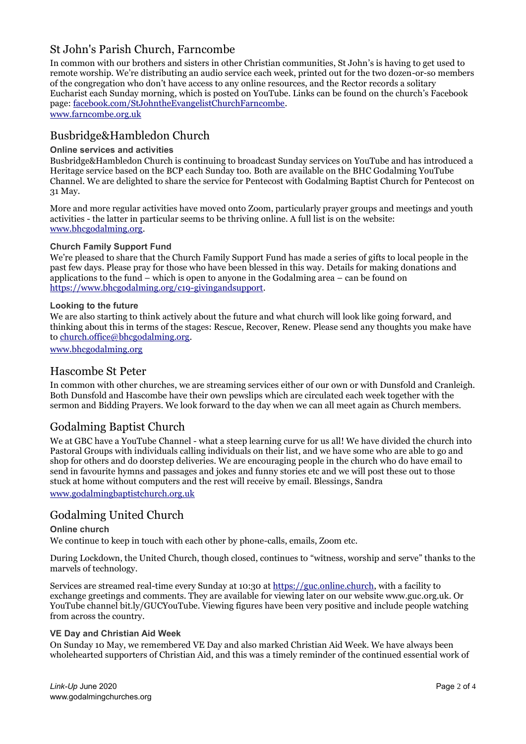# St John's Parish Church, Farncombe

In common with our brothers and sisters in other Christian communities, St John's is having to get used to remote worship. We're distributing an audio service each week, printed out for the two dozen-or-so members of the congregation who don't have access to any online resources, and the Rector records a solitary Eucharist each Sunday morning, which is posted on YouTube. Links can be found on the church's Facebook page: [facebook.com/StJohntheEvangelistChurchFarncombe.](https://facebook.com/StJohntheEvangelistChurchFarncombe)

[www.farncombe.org.uk](http://www.farncombe.org.uk/)

# Busbridge&Hambledon Church

#### **Online services and activities**

Busbridge&Hambledon Church is continuing to broadcast Sunday services on YouTube and has introduced a Heritage service based on the BCP each Sunday too. Both are available on the BHC Godalming YouTube Channel. We are delighted to share the service for Pentecost with Godalming Baptist Church for Pentecost on 31 May.

More and more regular activities have moved onto Zoom, particularly prayer groups and meetings and youth activities - the latter in particular seems to be thriving online. A full list is on the website: [www.bhcgodalming.org.](https://www.bhcgodalming.org/)

#### **Church Family Support Fund**

We're pleased to share that the Church Family Support Fund has made a series of gifts to local people in the past few days. Please pray for those who have been blessed in this way. Details for making donations and applications to the fund – which is open to anyone in the Godalming area – can be found on [https://www.bhcgodalming.org/c19-givingandsupport.](https://www.bhcgodalming.org/c19-givingandsupport)

#### **Looking to the future**

We are also starting to think actively about the future and what church will look like going forward, and thinking about this in terms of the stages: Rescue, Recover, Renew. Please send any thoughts you make have to [church.office@bhcgodalming.org.](mailto:church.office@bhcgodalming.org)

[www.bhcgodalming.org](https://www.bhcgodalming.org/)

#### Hascombe St Peter

In common with other churches, we are streaming services either of our own or with Dunsfold and Cranleigh. Both Dunsfold and Hascombe have their own pewslips which are circulated each week together with the sermon and Bidding Prayers. We look forward to the day when we can all meet again as Church members.

## Godalming Baptist Church

We at GBC have a YouTube Channel - what a steep learning curve for us all! We have divided the church into Pastoral Groups with individuals calling individuals on their list, and we have some who are able to go and shop for others and do doorstep deliveries. We are encouraging people in the church who do have email to send in favourite hymns and passages and jokes and funny stories etc and we will post these out to those stuck at home without computers and the rest will receive by email. Blessings, Sandra

[www.godalmingbaptistchurch.org.uk](http://www.godalmingbaptistchurch.org.uk/)

## Godalming United Church

#### **Online church**

We continue to keep in touch with each other by phone-calls, emails, Zoom etc.

During Lockdown, the United Church, though closed, continues to "witness, worship and serve" thanks to the marvels of technology.

Services are streamed real-time every Sunday at 10:30 at [https://guc.online.church,](https://guc.online.church/) with a facility to exchange greetings and comments. They are available for viewing later on our website www.guc.org.uk. Or YouTube channel bit.ly/GUCYouTube. Viewing figures have been very positive and include people watching from across the country.

#### **VE Day and Christian Aid Week**

On Sunday 10 May, we remembered VE Day and also marked Christian Aid Week. We have always been wholehearted supporters of Christian Aid, and this was a timely reminder of the continued essential work of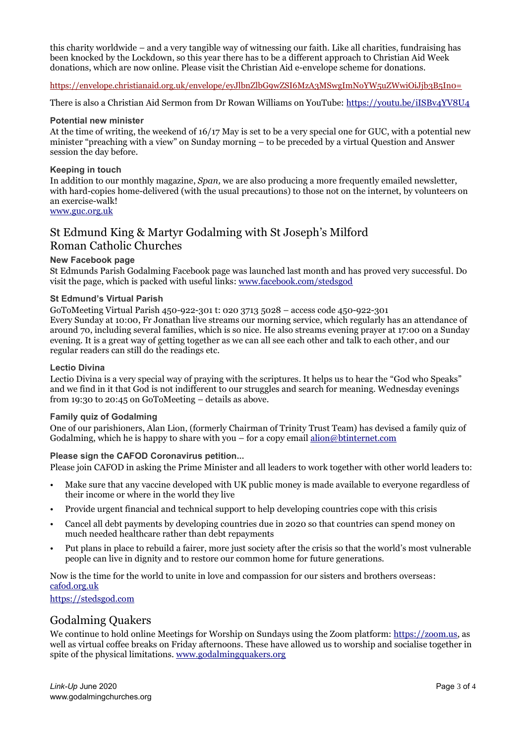this charity worldwide – and a very tangible way of witnessing our faith. Like all charities, fundraising has been knocked by the Lockdown, so this year there has to be a different approach to Christian Aid Week donations, which are now online. Please visit the Christian Aid e-envelope scheme for donations.

<https://envelope.christianaid.org.uk/envelope/eyJlbnZlbG9wZSI6MzA3MSwgImNoYW5uZWwiOiJjb3B5In0=>

There is also a Christian Aid Sermon from Dr Rowan Williams on YouTube: <https://youtu.be/iISBv4YV8U4>

#### **Potential new minister**

At the time of writing, the weekend of 16/17 May is set to be a very special one for GUC, with a potential new minister "preaching with a view" on Sunday morning – to be preceded by a virtual Question and Answer session the day before.

#### **Keeping in touch**

In addition to our monthly magazine, *Span,* we are also producing a more frequently emailed newsletter, with hard-copies home-delivered (with the usual precautions) to those not on the internet, by volunteers on an exercise-walk!

#### [www.guc.org.uk](http://www.guc.org.uk/)

### St Edmund King & Martyr Godalming with St Joseph's Milford Roman Catholic Churches

#### **New Facebook page**

St Edmunds Parish Godalming Facebook page was launched last month and has proved very successful. Do visit the page, which is packed with useful links: [www.facebook.com/stedsgod](https://www.facebook.com/stedsgod)

#### **St Edmund's Virtual Parish**

GoToMeeting Virtual Parish 450-922-301 t: 020 3713 5028 – access code 450-922-301 Every Sunday at 10:00, Fr Jonathan live streams our morning service, which regularly has an attendance of around 70, including several families, which is so nice. He also streams evening prayer at 17:00 on a Sunday evening. It is a great way of getting together as we can all see each other and talk to each other, and our regular readers can still do the readings etc.

#### **Lectio Divina**

Lectio Divina is a very special way of praying with the scriptures. It helps us to hear the "God who Speaks" and we find in it that God is not indifferent to our struggles and search for meaning. Wednesday evenings from 19:30 to 20:45 on GoToMeeting – details as above.

#### **Family quiz of Godalming**

One of our parishioners, Alan Lion, (formerly Chairman of Trinity Trust Team) has devised a family quiz of Godalming, which he is happy to share with you – for a copy email  $\underline{alion@b}$ tinternet.com

#### **Please sign the CAFOD Coronavirus petition...**

Please join CAFOD in asking the Prime Minister and all leaders to work together with other world leaders to:

- Make sure that any vaccine developed with UK public money is made available to everyone regardless of their income or where in the world they live
- Provide urgent financial and technical support to help developing countries cope with this crisis
- Cancel all debt payments by developing countries due in 2020 so that countries can spend money on much needed healthcare rather than debt repayments
- Put plans in place to rebuild a fairer, more just society after the crisis so that the world's most vulnerable people can live in dignity and to restore our common home for future generations.

Now is the time for the world to unite in love and compassion for our sisters and brothers overseas: [cafod.org.uk](https://cafod.org.uk/)

[https://stedsgod.com](https://stedsgod.com/)

#### Godalming Quakers

We continue to hold online Meetings for Worship on Sundays using the Zoom platform[: https://zoom.us,](https://zoom.us/) as well as virtual coffee breaks on Friday afternoons. These have allowed us to worship and socialise together in spite of the physical limitations. [www.godalmingquakers.org](https://www.godalmingquakers.org/)